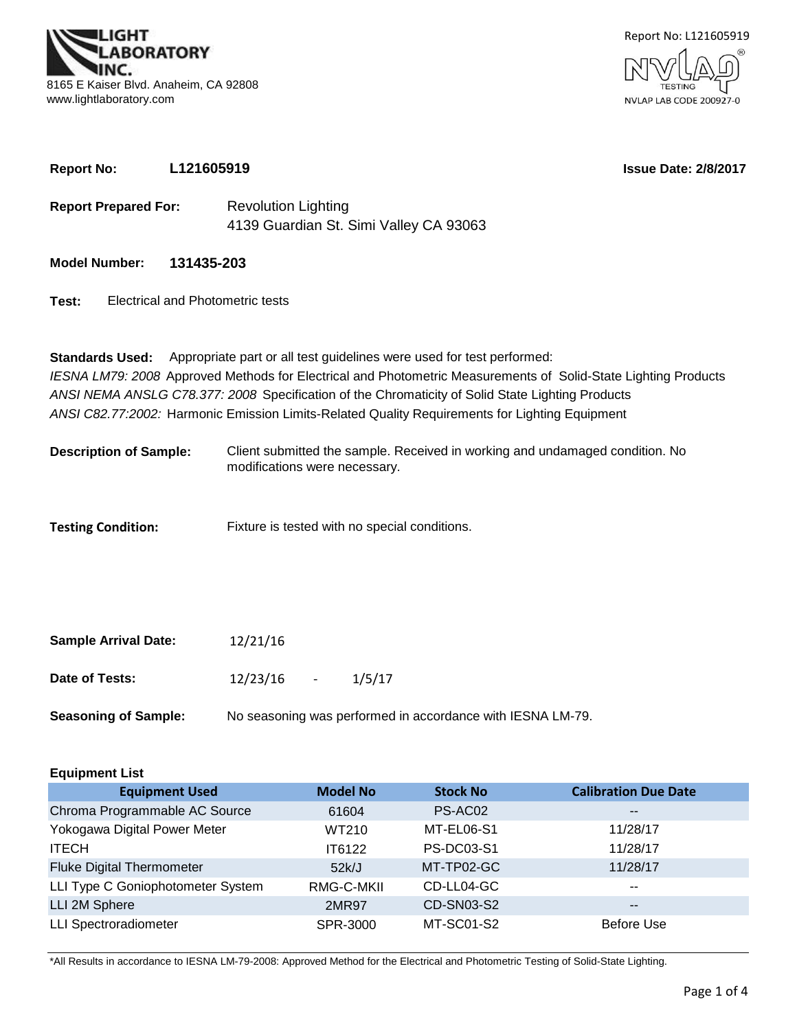**SORATORY** 8165 E Kaiser Blvd. Anaheim, CA 92808 www.lightlaboratory.com



**Report No: L121605919**

**Issue Date: 2/8/2017**

- **Report Prepared For:** Revolution Lighting 4139 Guardian St. Simi Valley CA 93063
- **Model Number: 131435-203**
- **Test:** Electrical and Photometric tests

**Standards Used:** Appropriate part or all test guidelines were used for test performed: *IESNA LM79: 2008* Approved Methods for Electrical and Photometric Measurements of Solid-State Lighting Products *ANSI NEMA ANSLG C78.377: 2008* Specification of the Chromaticity of Solid State Lighting Products *ANSI C82.77:2002:* Harmonic Emission Limits-Related Quality Requirements for Lighting Equipment

- **Description of Sample:** Client submitted the sample. Received in working and undamaged condition. No modifications were necessary.
- **Testing Condition:** Fixture is tested with no special conditions.

| <b>Sample Arrival Date:</b> | 12/21/16   |                                                            |
|-----------------------------|------------|------------------------------------------------------------|
| Date of Tests:              | 12/23/16 - | 1/5/17                                                     |
| <b>Seasoning of Sample:</b> |            | No seasoning was performed in accordance with IESNA LM-79. |

| <b>Equipment List</b>             |                 |                   |                             |  |  |  |  |  |  |  |
|-----------------------------------|-----------------|-------------------|-----------------------------|--|--|--|--|--|--|--|
| <b>Equipment Used</b>             | <b>Model No</b> | <b>Stock No</b>   | <b>Calibration Due Date</b> |  |  |  |  |  |  |  |
| Chroma Programmable AC Source     | 61604           | PS-AC02           | $\overline{\phantom{m}}$    |  |  |  |  |  |  |  |
| Yokogawa Digital Power Meter      | WT210           | MT-EL06-S1        | 11/28/17                    |  |  |  |  |  |  |  |
| <b>ITECH</b>                      | IT6122          | <b>PS-DC03-S1</b> | 11/28/17                    |  |  |  |  |  |  |  |
| <b>Fluke Digital Thermometer</b>  | 52k/J           | MT-TP02-GC        | 11/28/17                    |  |  |  |  |  |  |  |
| LLI Type C Goniophotometer System | RMG-C-MKII      | CD-LL04-GC        | $\sim$ $\sim$               |  |  |  |  |  |  |  |
| LLI 2M Sphere                     | 2MR97           | CD-SN03-S2        | $\sim$ $\sim$               |  |  |  |  |  |  |  |
| <b>LLI Spectroradiometer</b>      | SPR-3000        | MT-SC01-S2        | <b>Before Use</b>           |  |  |  |  |  |  |  |

\*All Results in accordance to IESNA LM-79-2008: Approved Method for the Electrical and Photometric Testing of Solid-State Lighting.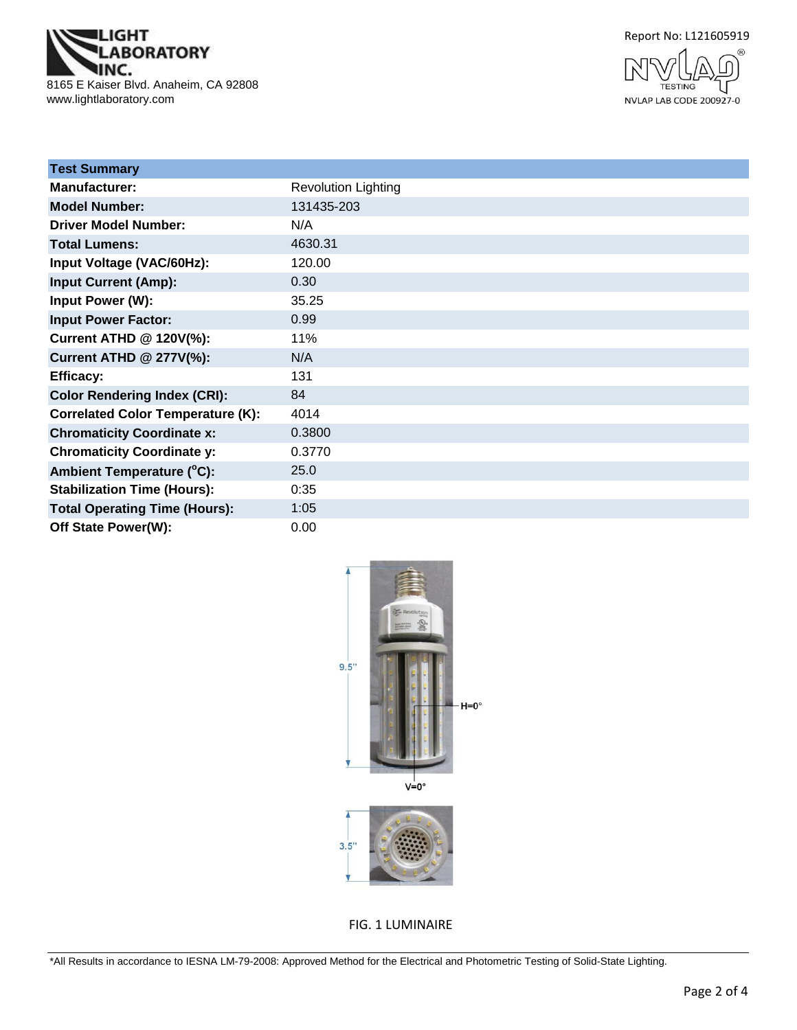

Report No: L121605919



| <b>Test Summary</b>                      |                            |
|------------------------------------------|----------------------------|
| Manufacturer:                            | <b>Revolution Lighting</b> |
| <b>Model Number:</b>                     | 131435-203                 |
| <b>Driver Model Number:</b>              | N/A                        |
| <b>Total Lumens:</b>                     | 4630.31                    |
| Input Voltage (VAC/60Hz):                | 120.00                     |
| <b>Input Current (Amp):</b>              | 0.30                       |
| Input Power (W):                         | 35.25                      |
| <b>Input Power Factor:</b>               | 0.99                       |
| <b>Current ATHD @ 120V(%):</b>           | 11%                        |
| <b>Current ATHD @ 277V(%):</b>           | N/A                        |
| <b>Efficacy:</b>                         | 131                        |
| <b>Color Rendering Index (CRI):</b>      | 84                         |
| <b>Correlated Color Temperature (K):</b> | 4014                       |
| <b>Chromaticity Coordinate x:</b>        | 0.3800                     |
| <b>Chromaticity Coordinate y:</b>        | 0.3770                     |
| Ambient Temperature (°C):                | 25.0                       |
| <b>Stabilization Time (Hours):</b>       | 0:35                       |
| <b>Total Operating Time (Hours):</b>     | 1:05                       |
| Off State Power(W):                      | 0.00                       |



FIG. 1 LUMINAIRE

\*All Results in accordance to IESNA LM-79-2008: Approved Method for the Electrical and Photometric Testing of Solid-State Lighting.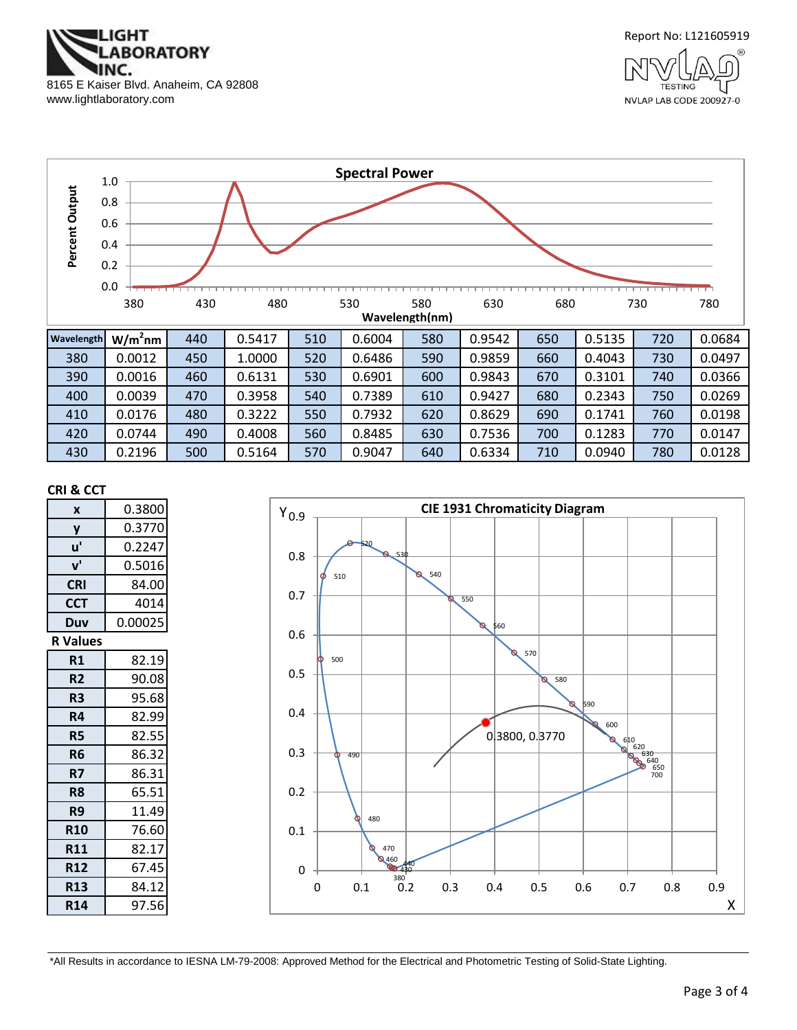



NVLAP LAB CODE 200927-0



#### **CRI & CCT**

| X               | 0.3800  |
|-----------------|---------|
| y               | 0.3770  |
| u'              | 0.2247  |
| ${\bf v}'$      | 0.5016  |
| <b>CRI</b>      | 84.00   |
| <b>CCT</b>      | 4014    |
| Duv             | 0.00025 |
| <b>R</b> Values |         |
| R1              | 82.19   |
| R <sub>2</sub>  | 90.08   |
| R3              | 95.68   |
| R4              | 82.99   |
| R5              | 82.55   |
| R6              | 86.32   |
| R7              | 86.31   |
| R8              | 65.51   |
| R9              | 11.49   |
| <b>R10</b>      | 76.60   |
| <b>R11</b>      | 82.17   |
| <b>R12</b>      | 67.45   |
| <b>R13</b>      | 84.12   |
| <b>R14</b>      | 97.56   |



\*All Results in accordance to IESNA LM-79-2008: Approved Method for the Electrical and Photometric Testing of Solid-State Lighting.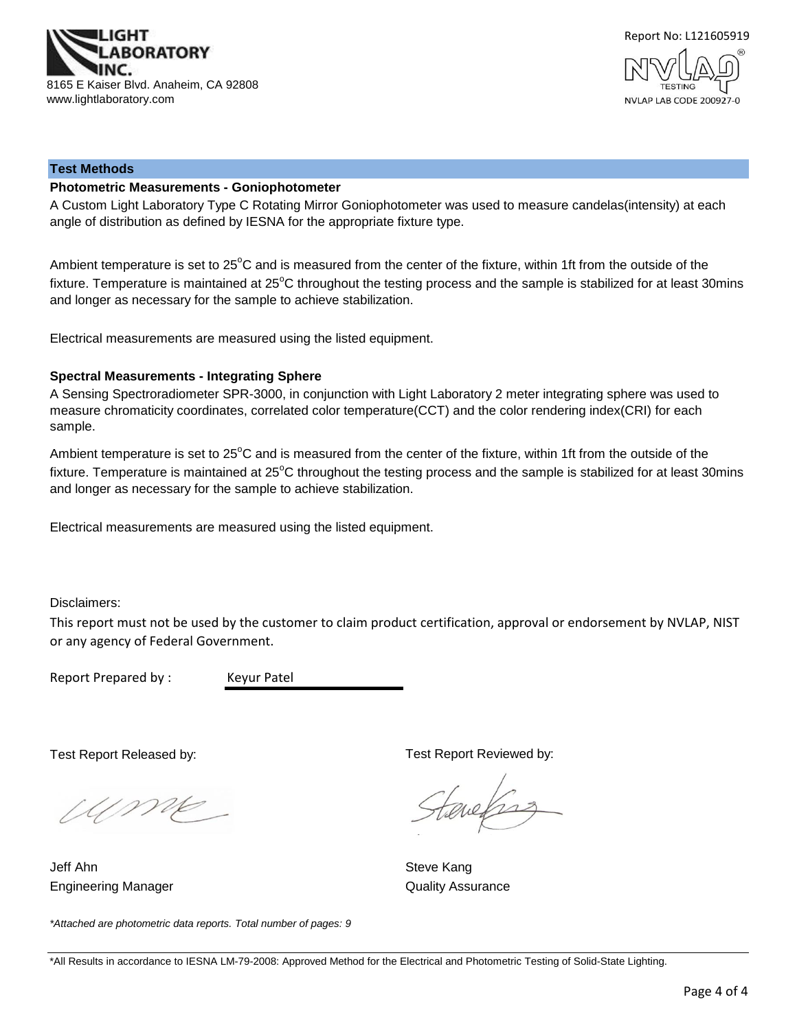



#### **Test Methods**

## **Photometric Measurements - Goniophotometer**

A Custom Light Laboratory Type C Rotating Mirror Goniophotometer was used to measure candelas(intensity) at each angle of distribution as defined by IESNA for the appropriate fixture type.

Ambient temperature is set to 25°C and is measured from the center of the fixture, within 1ft from the outside of the fixture. Temperature is maintained at  $25^{\circ}$ C throughout the testing process and the sample is stabilized for at least 30mins and longer as necessary for the sample to achieve stabilization.

Electrical measurements are measured using the listed equipment.

#### **Spectral Measurements - Integrating Sphere**

A Sensing Spectroradiometer SPR-3000, in conjunction with Light Laboratory 2 meter integrating sphere was used to measure chromaticity coordinates, correlated color temperature(CCT) and the color rendering index(CRI) for each sample.

Ambient temperature is set to 25°C and is measured from the center of the fixture, within 1ft from the outside of the fixture. Temperature is maintained at  $25^{\circ}$ C throughout the testing process and the sample is stabilized for at least 30mins and longer as necessary for the sample to achieve stabilization.

Electrical measurements are measured using the listed equipment.

Disclaimers:

This report must not be used by the customer to claim product certification, approval or endorsement by NVLAP, NIST or any agency of Federal Government.

Report Prepared by : Keyur Patel

Test Report Released by:

Ump

Engineering Manager **Contract Contract Contract Contract Contract Contract Contract Contract Contract Contract Contract Contract Contract Contract Contract Contract Contract Contract Contract Contract Contract Contract Con** Jeff Ahn Steve Kang

Test Report Reviewed by:

evelses

*\*Attached are photometric data reports. Total number of pages: 9*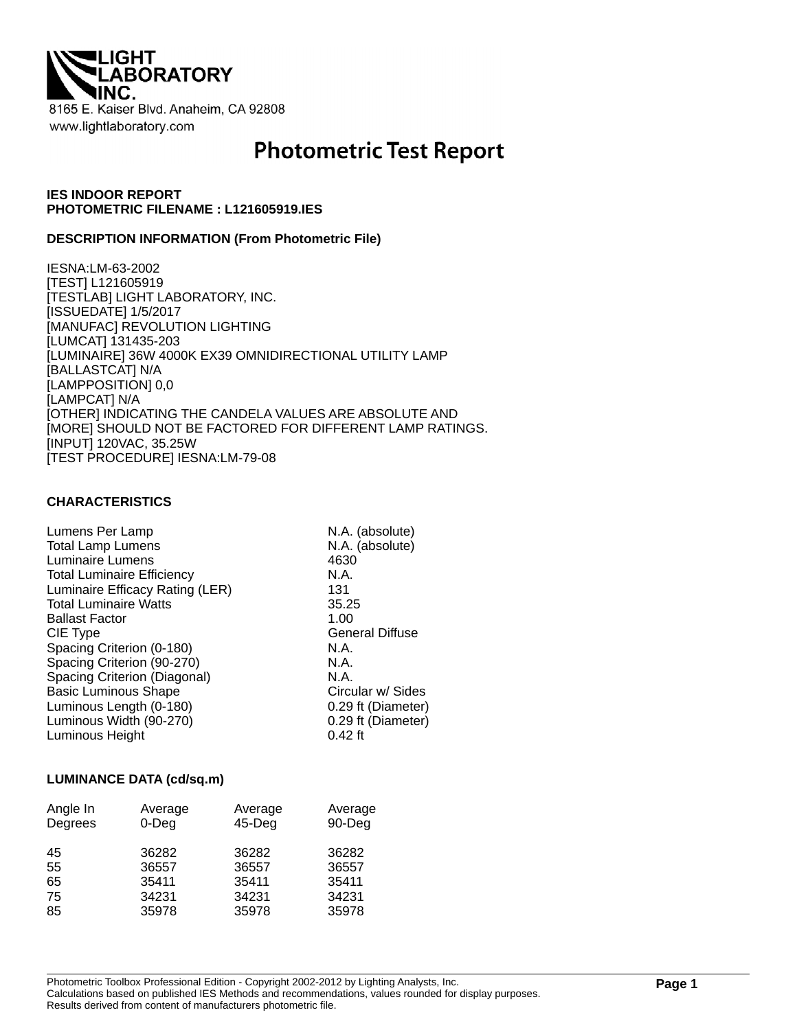

# **Photometric Test Report**

## **IES INDOOR REPORT PHOTOMETRIC FILENAME : L121605919.IES**

## **DESCRIPTION INFORMATION (From Photometric File)**

IESNA:LM-63-2002 [TEST] L121605919 [TESTLAB] LIGHT LABORATORY, INC. [ISSUEDATE] 1/5/2017 [MANUFAC] REVOLUTION LIGHTING [LUMCAT] 131435-203 [LUMINAIRE] 36W 4000K EX39 OMNIDIRECTIONAL UTILITY LAMP [BALLASTCAT] N/A [LAMPPOSITION] 0,0 [LAMPCAT] N/A [OTHER] INDICATING THE CANDELA VALUES ARE ABSOLUTE AND [MORE] SHOULD NOT BE FACTORED FOR DIFFERENT LAMP RATINGS. [INPUT] 120VAC, 35.25W [TEST PROCEDURE] IESNA:LM-79-08

## **CHARACTERISTICS**

| Lumens Per Lamp                   | N.A. (absolute)        |
|-----------------------------------|------------------------|
| <b>Total Lamp Lumens</b>          | N.A. (absolute)        |
| Luminaire Lumens                  | 4630                   |
| <b>Total Luminaire Efficiency</b> | N.A.                   |
| Luminaire Efficacy Rating (LER)   | 131                    |
| <b>Total Luminaire Watts</b>      | 35.25                  |
| <b>Ballast Factor</b>             | 1.00                   |
| CIE Type                          | <b>General Diffuse</b> |
| Spacing Criterion (0-180)         | N.A.                   |
| Spacing Criterion (90-270)        | N.A.                   |
| Spacing Criterion (Diagonal)      | N.A.                   |
| <b>Basic Luminous Shape</b>       | Circular w/ Sides      |
| Luminous Length (0-180)           | 0.29 ft (Diameter)     |
| Luminous Width (90-270)           | 0.29 ft (Diameter)     |
| Luminous Height                   | $0.42$ ft              |

## **LUMINANCE DATA (cd/sq.m)**

| Angle In<br>Degrees | Average<br>$0$ -Deg | Average<br>$45$ -Deg | Average<br>90-Deg |
|---------------------|---------------------|----------------------|-------------------|
| 45<br>55            | 36282<br>36557      | 36282<br>36557       | 36282<br>36557    |
| 65                  | 35411               | 35411                | 35411             |
| 75                  | 34231               | 34231                | 34231             |
| 85                  | 35978               | 35978                | 35978             |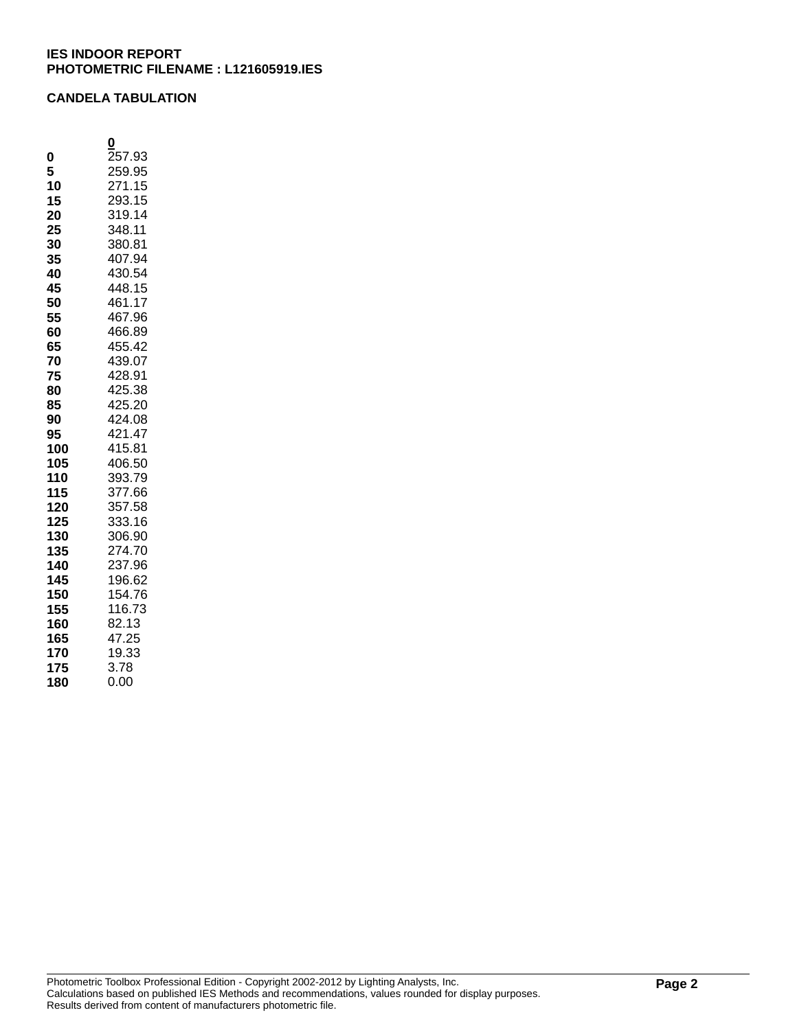## **CANDELA TABULATION**

| 257.93<br>0<br>259.95<br>5<br>271.15<br>10<br>293.15<br>15 |  |
|------------------------------------------------------------|--|
|                                                            |  |
|                                                            |  |
|                                                            |  |
|                                                            |  |
| 319.14<br>20                                               |  |
| 348.11<br>25                                               |  |
| 380.81<br>30                                               |  |
| 407.94<br>35                                               |  |
| 430.54<br>40                                               |  |
| 448.15<br>45                                               |  |
| 461.17<br>50                                               |  |
| 467.96<br>55                                               |  |
| 466.89<br>60                                               |  |
| 455.42<br>65                                               |  |
| 439.07<br>70                                               |  |
| 428.91<br>75                                               |  |
| 425.38<br>80                                               |  |
| 425.20<br>85                                               |  |
| 424.08<br>90                                               |  |
| 421.47<br>95                                               |  |
| 100<br>415.81                                              |  |
| 105<br>406.50                                              |  |
| 393.79<br>110                                              |  |
| 377.66<br>115                                              |  |
| 120<br>357.58<br>333.16                                    |  |
| 125<br>130<br>306.90                                       |  |
| 135<br>274.70                                              |  |
| 237.96<br>140                                              |  |
| 196.62<br>145                                              |  |
| 150<br>154.76                                              |  |
| 116.73<br>155                                              |  |
| 82.13<br>160                                               |  |
| 47.25<br>165                                               |  |
| 19.33<br>170                                               |  |
| 3.78<br>175                                                |  |
| 0.00<br>180                                                |  |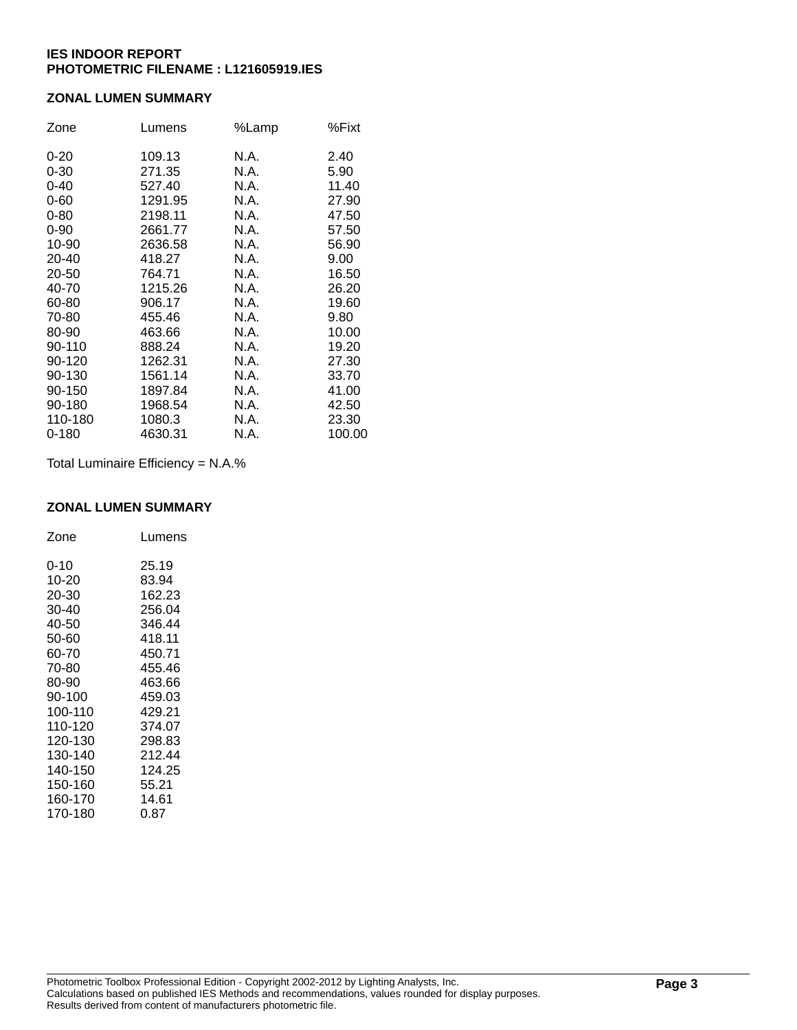## **ZONAL LUMEN SUMMARY**

| Zone      | Lumens  | %Lamp | %Fixt  |
|-----------|---------|-------|--------|
| $0 - 20$  | 109.13  | N.A.  | 2.40   |
| $0 - 30$  | 271.35  | N.A.  | 5.90   |
| $0 - 40$  | 527.40  | N.A.  | 11.40  |
| $0 - 60$  | 1291.95 | N.A.  | 27.90  |
| $0 - 80$  | 2198.11 | N.A.  | 47.50  |
| $0 - 90$  | 2661.77 | N.A.  | 57.50  |
| 10-90     | 2636.58 | N.A.  | 56.90  |
| 20-40     | 418.27  | N.A.  | 9.00   |
| 20-50     | 764.71  | N.A.  | 16.50  |
| 40-70     | 1215.26 | N.A.  | 26.20  |
| 60-80     | 906.17  | N.A.  | 19.60  |
| 70-80     | 455.46  | N.A.  | 9.80   |
| 80-90     | 463.66  | N.A.  | 10.00  |
| 90-110    | 888.24  | N.A.  | 19.20  |
| 90-120    | 1262.31 | N.A.  | 27.30  |
| 90-130    | 1561.14 | N.A.  | 33.70  |
| 90-150    | 1897.84 | N.A.  | 41.00  |
| 90-180    | 1968.54 | N.A.  | 42.50  |
| 110-180   | 1080.3  | N.A.  | 23.30  |
| $0 - 180$ | 4630.31 | N.A.  | 100.00 |

Total Luminaire Efficiency = N.A.%

## **ZONAL LUMEN SUMMARY**

| Zone     | Lumens |
|----------|--------|
| $0 - 10$ | 25.19  |
| 10-20    | 83.94  |
| 20-30    | 162.23 |
| 30-40    | 256.04 |
| 40-50    | 346.44 |
| 50-60    | 418.11 |
| 60-70    | 450.71 |
| 70-80    | 455.46 |
| 80-90    | 463.66 |
| 90-100   | 459.03 |
| 100-110  | 429.21 |
| 110-120  | 374.07 |
| 120-130  | 298.83 |
| 130-140  | 212.44 |
| 140-150  | 124.25 |
| 150-160  | 55.21  |
| 160-170  | 14.61  |
| 170-180  | 0.87   |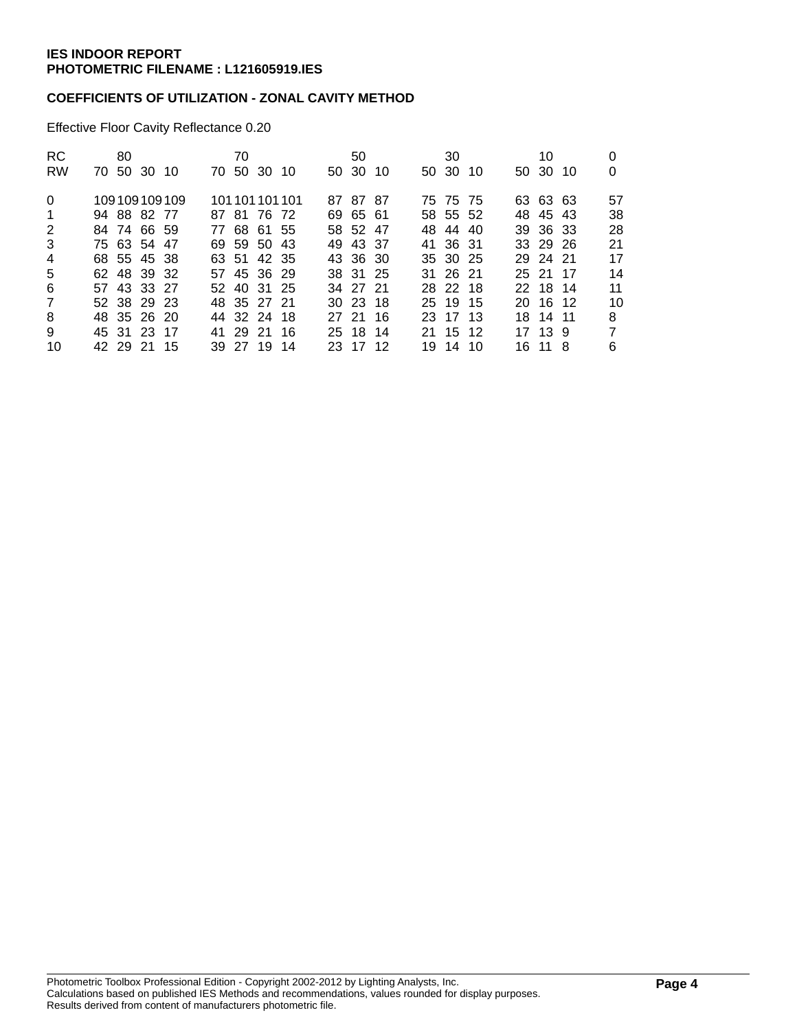## **COEFFICIENTS OF UTILIZATION - ZONAL CAVITY METHOD**

Effective Floor Cavity Reflectance 0.20

| RC.<br><b>RW</b> | 70 50 30 10 | 80 |             |              | 70 | 70 50 30 10 |                 | 50<br>50 30 10 |  | 30<br>50 30 10 |  | 10<br>50 30 10 | 0<br>0         |
|------------------|-------------|----|-------------|--------------|----|-------------|-----------------|----------------|--|----------------|--|----------------|----------------|
| $\Omega$         |             |    |             | 109109109109 |    |             | 101 101 101 101 | 87 87 87       |  | 75 75 75       |  | 63 63 63       | 57             |
| $\mathbf 1$      | 94 88 82 77 |    |             |              |    | 87 81 76 72 |                 | 69 65 61       |  | 58 55 52       |  | 48 45 43       | 38             |
| 2                | 84 74 66 59 |    |             |              |    | 77 68 61 55 |                 | 58 52 47       |  | 48 44 40       |  | 39 36 33       | 28             |
| 3                | 75 63 54 47 |    |             |              |    | 69 59 50 43 |                 | 49 43 37       |  | 41 36 31       |  | 33 29 26       | 21             |
| $\overline{4}$   | 68 55 45 38 |    |             |              |    | 63 51 42 35 |                 | 43 36 30       |  | 35 30 25       |  | 29 24 21       | 17             |
| 5                | 62 48 39 32 |    |             |              |    | 57 45 36 29 |                 | 38 31 25       |  | 31 26 21       |  | 25 21 17       | 14             |
| 6                | 57 43 33 27 |    |             |              |    | 52 40 31 25 |                 | 34 27 21       |  | 28 22 18       |  | 22 18 14       | 11             |
| $\overline{7}$   |             |    | 52 38 29 23 |              |    | 48 35 27 21 |                 | 30 23 18       |  | 25 19 15       |  | 20 16 12       | 10             |
| 8                | 48 35 26 20 |    |             |              |    | 44 32 24 18 |                 | 27 21 16       |  | 23 17 13       |  | 18 14 11       | 8              |
| 9                | 45 31 23 17 |    |             |              |    | 41 29 21 16 |                 | 25 18 14       |  | 21 15 12       |  | 17 13 9        | $\overline{7}$ |
| 10               |             |    | 42 29 21 15 |              |    | 39 27 19 14 |                 | 23 17 12       |  | 19 14 10       |  | 16 11 8        | 6              |